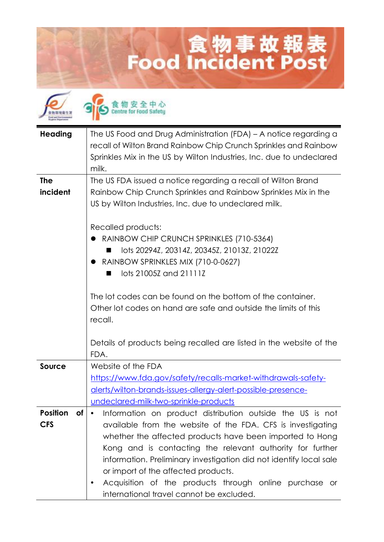## **Lood Incident Post**



食物安全中心

| <b>Heading</b>        | The US Food and Drug Administration (FDA) - A notice regarding a     |
|-----------------------|----------------------------------------------------------------------|
|                       | recall of Wilton Brand Rainbow Chip Crunch Sprinkles and Rainbow     |
|                       | Sprinkles Mix in the US by Wilton Industries, Inc. due to undeclared |
|                       | milk.                                                                |
| <b>The</b>            | The US FDA issued a notice regarding a recall of Wilton Brand        |
| incident              | Rainbow Chip Crunch Sprinkles and Rainbow Sprinkles Mix in the       |
|                       |                                                                      |
|                       | US by Wilton Industries, Inc. due to undeclared milk.                |
|                       | Recalled products:                                                   |
|                       | RAINBOW CHIP CRUNCH SPRINKLES (710-5364)                             |
|                       | lots 20294Z, 20314Z, 20345Z, 21013Z, 21022Z                          |
|                       | • RAINBOW SPRINKLES MIX (710-0-0627)                                 |
|                       | lots 21005Z and 21111Z                                               |
|                       |                                                                      |
|                       | The lot codes can be found on the bottom of the container.           |
|                       | Other lot codes on hand are safe and outside the limits of this      |
|                       | recall.                                                              |
|                       |                                                                      |
|                       | Details of products being recalled are listed in the website of the  |
|                       | FDA.                                                                 |
| <b>Source</b>         | Website of the FDA                                                   |
|                       | https://www.fda.gov/safety/recalls-market-withdrawals-safety-        |
|                       | alerts/wilton-brands-issues-allergy-alert-possible-presence-         |
|                       | undeclared-milk-two-sprinkle-products                                |
| <b>Position</b><br>0t | Information on product distribution outside the US is not            |
| <b>CFS</b>            | available from the website of the FDA. CFS is investigating          |
|                       | whether the affected products have been imported to Hong             |
|                       | Kong and is contacting the relevant authority for further            |
|                       | information. Preliminary investigation did not identify local sale   |
|                       | or import of the affected products.                                  |
|                       | Acquisition of the products through online purchase or<br>٠          |
|                       | international travel cannot be excluded.                             |